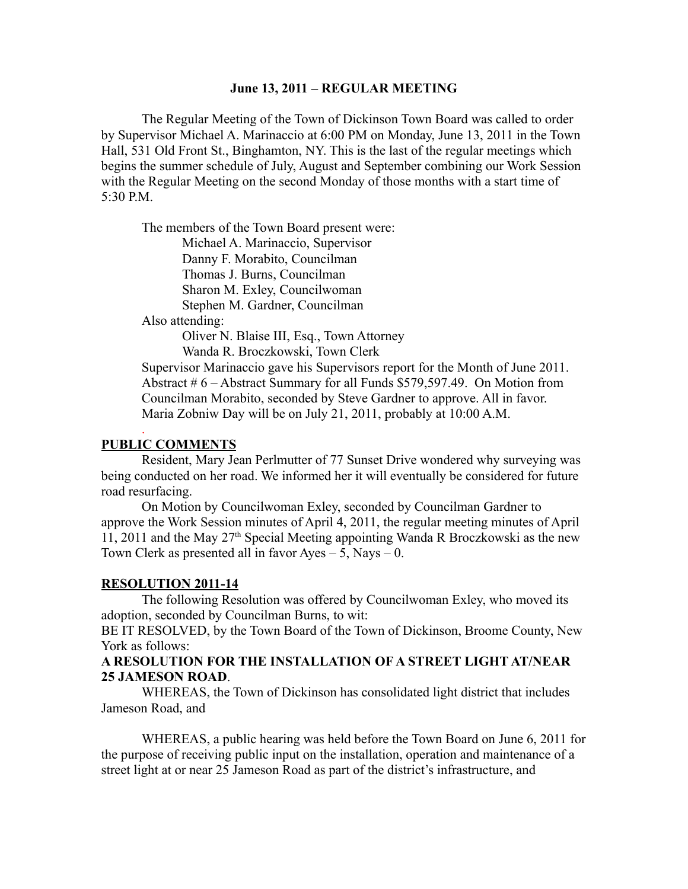#### **June 13, 2011 – REGULAR MEETING**

The Regular Meeting of the Town of Dickinson Town Board was called to order by Supervisor Michael A. Marinaccio at 6:00 PM on Monday, June 13, 2011 in the Town Hall, 531 Old Front St., Binghamton, NY. This is the last of the regular meetings which begins the summer schedule of July, August and September combining our Work Session with the Regular Meeting on the second Monday of those months with a start time of 5:30 P.M.

The members of the Town Board present were:

Michael A. Marinaccio, Supervisor Danny F. Morabito, Councilman

Thomas J. Burns, Councilman

Sharon M. Exley, Councilwoman

Stephen M. Gardner, Councilman

Also attending:

Oliver N. Blaise III, Esq., Town Attorney Wanda R. Broczkowski, Town Clerk

Supervisor Marinaccio gave his Supervisors report for the Month of June 2011. Abstract # 6 – Abstract Summary for all Funds \$579,597.49. On Motion from Councilman Morabito, seconded by Steve Gardner to approve. All in favor. Maria Zobniw Day will be on July 21, 2011, probably at 10:00 A.M.

# **PUBLIC COMMENTS**

.

Resident, Mary Jean Perlmutter of 77 Sunset Drive wondered why surveying was being conducted on her road. We informed her it will eventually be considered for future road resurfacing.

On Motion by Councilwoman Exley, seconded by Councilman Gardner to approve the Work Session minutes of April 4, 2011, the regular meeting minutes of April 11, 2011 and the May  $27<sup>th</sup>$  Special Meeting appointing Wanda R Broczkowski as the new Town Clerk as presented all in favor Ayes  $-5$ , Nays  $-0$ .

#### **RESOLUTION 2011-14**

The following Resolution was offered by Councilwoman Exley, who moved its adoption, seconded by Councilman Burns, to wit:

BE IT RESOLVED, by the Town Board of the Town of Dickinson, Broome County, New York as follows:

## **A RESOLUTION FOR THE INSTALLATION OF A STREET LIGHT AT/NEAR 25 JAMESON ROAD**.

WHEREAS, the Town of Dickinson has consolidated light district that includes Jameson Road, and

WHEREAS, a public hearing was held before the Town Board on June 6, 2011 for the purpose of receiving public input on the installation, operation and maintenance of a street light at or near 25 Jameson Road as part of the district's infrastructure, and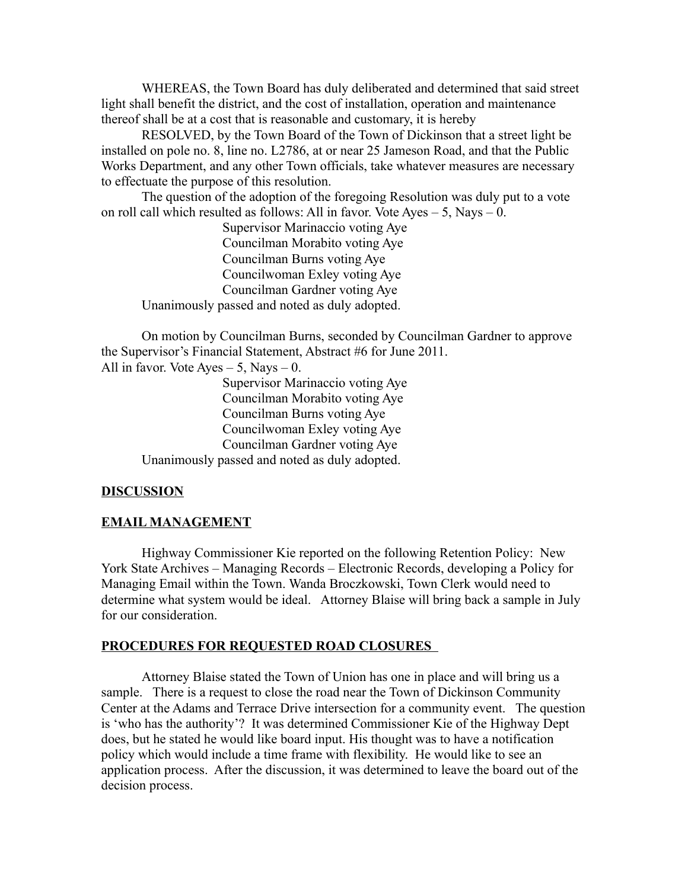WHEREAS, the Town Board has duly deliberated and determined that said street light shall benefit the district, and the cost of installation, operation and maintenance thereof shall be at a cost that is reasonable and customary, it is hereby

RESOLVED, by the Town Board of the Town of Dickinson that a street light be installed on pole no. 8, line no. L2786, at or near 25 Jameson Road, and that the Public Works Department, and any other Town officials, take whatever measures are necessary to effectuate the purpose of this resolution.

The question of the adoption of the foregoing Resolution was duly put to a vote on roll call which resulted as follows: All in favor. Vote Ayes  $-5$ , Nays  $-0$ .

Supervisor Marinaccio voting Aye Councilman Morabito voting Aye Councilman Burns voting Aye Councilwoman Exley voting Aye Councilman Gardner voting Aye Unanimously passed and noted as duly adopted.

On motion by Councilman Burns, seconded by Councilman Gardner to approve the Supervisor's Financial Statement, Abstract #6 for June 2011.

All in favor. Vote Ayes  $-5$ , Nays  $-0$ .

Supervisor Marinaccio voting Aye Councilman Morabito voting Aye Councilman Burns voting Aye Councilwoman Exley voting Aye Councilman Gardner voting Aye Unanimously passed and noted as duly adopted.

## **DISCUSSION**

## **EMAIL MANAGEMENT**

Highway Commissioner Kie reported on the following Retention Policy: New York State Archives – Managing Records – Electronic Records, developing a Policy for Managing Email within the Town. Wanda Broczkowski, Town Clerk would need to determine what system would be ideal. Attorney Blaise will bring back a sample in July for our consideration.

## **PROCEDURES FOR REQUESTED ROAD CLOSURES**

Attorney Blaise stated the Town of Union has one in place and will bring us a sample. There is a request to close the road near the Town of Dickinson Community Center at the Adams and Terrace Drive intersection for a community event. The question is 'who has the authority'? It was determined Commissioner Kie of the Highway Dept does, but he stated he would like board input. His thought was to have a notification policy which would include a time frame with flexibility. He would like to see an application process. After the discussion, it was determined to leave the board out of the decision process.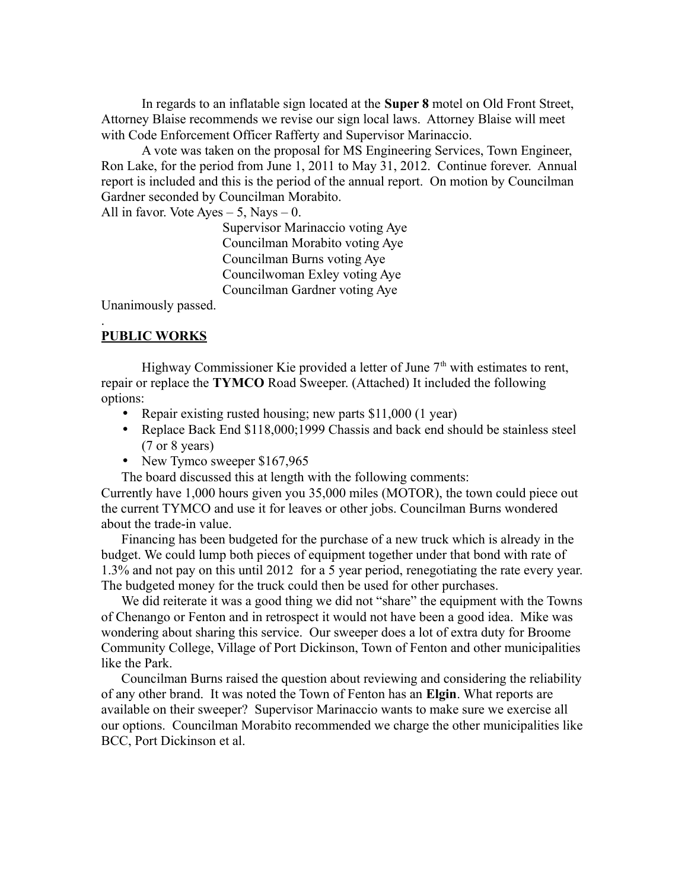In regards to an inflatable sign located at the **Super 8** motel on Old Front Street, Attorney Blaise recommends we revise our sign local laws. Attorney Blaise will meet with Code Enforcement Officer Rafferty and Supervisor Marinaccio.

A vote was taken on the proposal for MS Engineering Services, Town Engineer, Ron Lake, for the period from June 1, 2011 to May 31, 2012. Continue forever. Annual report is included and this is the period of the annual report. On motion by Councilman Gardner seconded by Councilman Morabito.

All in favor. Vote Ayes  $-5$ , Nays  $-0$ .

Supervisor Marinaccio voting Aye Councilman Morabito voting Aye Councilman Burns voting Aye Councilwoman Exley voting Aye Councilman Gardner voting Aye

Unanimously passed.

#### **PUBLIC WORKS**

.

Highway Commissioner Kie provided a letter of June  $7<sup>th</sup>$  with estimates to rent, repair or replace the **TYMCO** Road Sweeper. (Attached) It included the following options:

- Repair existing rusted housing; new parts \$11,000 (1 year)
- Replace Back End \$118,000;1999 Chassis and back end should be stainless steel (7 or 8 years)
- New Tymco sweeper \$167,965
- The board discussed this at length with the following comments:

Currently have 1,000 hours given you 35,000 miles (MOTOR), the town could piece out the current TYMCO and use it for leaves or other jobs. Councilman Burns wondered about the trade-in value.

Financing has been budgeted for the purchase of a new truck which is already in the budget. We could lump both pieces of equipment together under that bond with rate of 1.3% and not pay on this until 2012 for a 5 year period, renegotiating the rate every year. The budgeted money for the truck could then be used for other purchases.

We did reiterate it was a good thing we did not "share" the equipment with the Towns of Chenango or Fenton and in retrospect it would not have been a good idea. Mike was wondering about sharing this service. Our sweeper does a lot of extra duty for Broome Community College, Village of Port Dickinson, Town of Fenton and other municipalities like the Park.

Councilman Burns raised the question about reviewing and considering the reliability of any other brand. It was noted the Town of Fenton has an **Elgin**. What reports are available on their sweeper? Supervisor Marinaccio wants to make sure we exercise all our options. Councilman Morabito recommended we charge the other municipalities like BCC, Port Dickinson et al.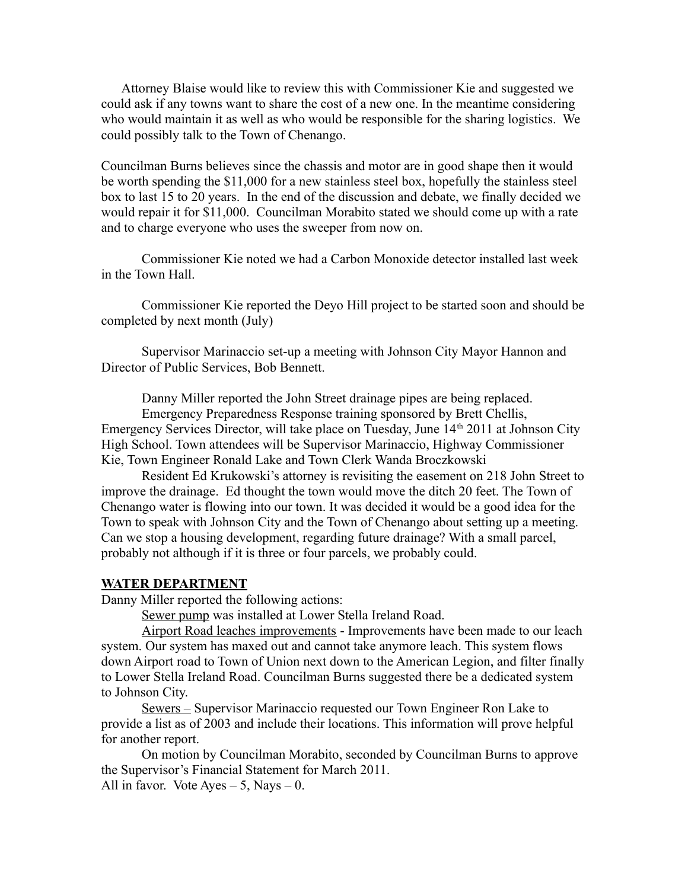Attorney Blaise would like to review this with Commissioner Kie and suggested we could ask if any towns want to share the cost of a new one. In the meantime considering who would maintain it as well as who would be responsible for the sharing logistics. We could possibly talk to the Town of Chenango.

Councilman Burns believes since the chassis and motor are in good shape then it would be worth spending the \$11,000 for a new stainless steel box, hopefully the stainless steel box to last 15 to 20 years. In the end of the discussion and debate, we finally decided we would repair it for \$11,000. Councilman Morabito stated we should come up with a rate and to charge everyone who uses the sweeper from now on.

Commissioner Kie noted we had a Carbon Monoxide detector installed last week in the Town Hall.

Commissioner Kie reported the Deyo Hill project to be started soon and should be completed by next month (July)

Supervisor Marinaccio set-up a meeting with Johnson City Mayor Hannon and Director of Public Services, Bob Bennett.

Danny Miller reported the John Street drainage pipes are being replaced.

Emergency Preparedness Response training sponsored by Brett Chellis, Emergency Services Director, will take place on Tuesday, June  $14<sup>th</sup> 2011$  at Johnson City High School. Town attendees will be Supervisor Marinaccio, Highway Commissioner Kie, Town Engineer Ronald Lake and Town Clerk Wanda Broczkowski

Resident Ed Krukowski's attorney is revisiting the easement on 218 John Street to improve the drainage. Ed thought the town would move the ditch 20 feet. The Town of Chenango water is flowing into our town. It was decided it would be a good idea for the Town to speak with Johnson City and the Town of Chenango about setting up a meeting. Can we stop a housing development, regarding future drainage? With a small parcel, probably not although if it is three or four parcels, we probably could.

#### **WATER DEPARTMENT**

Danny Miller reported the following actions:

Sewer pump was installed at Lower Stella Ireland Road.

Airport Road leaches improvements - Improvements have been made to our leach system. Our system has maxed out and cannot take anymore leach. This system flows down Airport road to Town of Union next down to the American Legion, and filter finally to Lower Stella Ireland Road. Councilman Burns suggested there be a dedicated system to Johnson City.

Sewers – Supervisor Marinaccio requested our Town Engineer Ron Lake to provide a list as of 2003 and include their locations. This information will prove helpful for another report.

On motion by Councilman Morabito, seconded by Councilman Burns to approve the Supervisor's Financial Statement for March 2011.

All in favor. Vote Ayes  $-5$ , Nays  $-0$ .